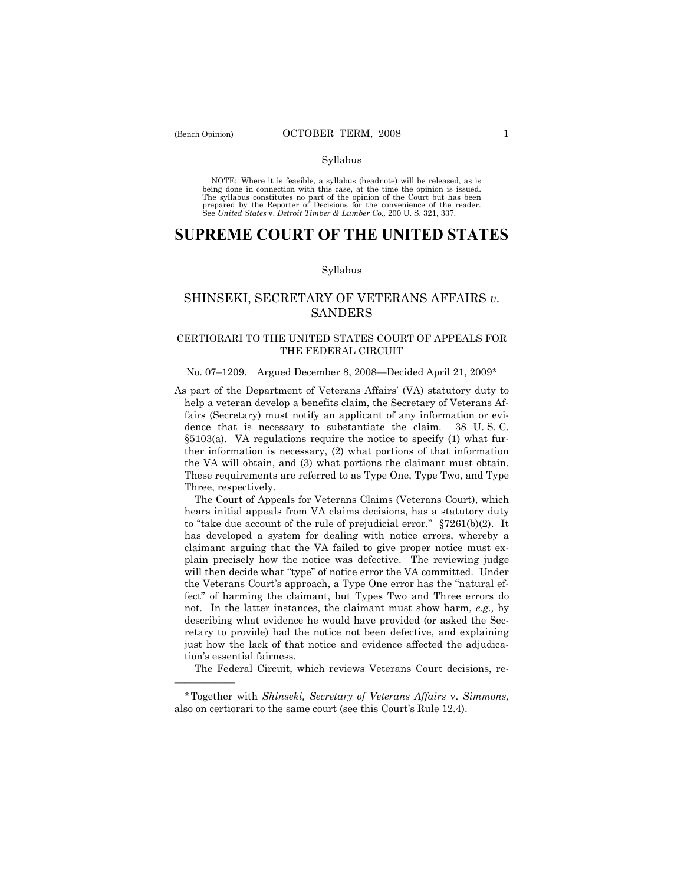NOTE: Where it is feasible, a syllabus (headnote) will be released, as is being done in connection with this case, at the time the opinion is issued. The syllabus constitutes no part of the opinion of the Court but has been<br>prepared by the Reporter of Decisions for the convenience of the reader.<br>See United States v. Detroit Timber & Lumber Co., 200 U. S. 321, 337.

# **SUPREME COURT OF THE UNITED STATES**

#### Syllabus

## SHINSEKI, SECRETARY OF VETERANS AFFAIRS *v*. SANDERS

### CERTIORARI TO THE UNITED STATES COURT OF APPEALS FOR THE FEDERAL CIRCUIT

### No. 07–1209. Argued December 8, 2008—Decided April 21, 2009\*

As part of the Department of Veterans Affairs' (VA) statutory duty to help a veteran develop a benefits claim, the Secretary of Veterans Affairs (Secretary) must notify an applicant of any information or evidence that is necessary to substantiate the claim. 38 U. S. C. §5103(a). VA regulations require the notice to specify (1) what further information is necessary, (2) what portions of that information the VA will obtain, and (3) what portions the claimant must obtain. These requirements are referred to as Type One, Type Two, and Type Three, respectively.

 The Court of Appeals for Veterans Claims (Veterans Court), which hears initial appeals from VA claims decisions, has a statutory duty to "take due account of the rule of prejudicial error." §7261(b)(2). It has developed a system for dealing with notice errors, whereby a claimant arguing that the VA failed to give proper notice must explain precisely how the notice was defective. The reviewing judge will then decide what "type" of notice error the VA committed. Under the Veterans Court's approach, a Type One error has the "natural effect" of harming the claimant, but Types Two and Three errors do not. In the latter instances, the claimant must show harm, *e.g.,* by describing what evidence he would have provided (or asked the Secretary to provide) had the notice not been defective, and explaining just how the lack of that notice and evidence affected the adjudication's essential fairness.

The Federal Circuit, which reviews Veterans Court decisions, re-

——————

<sup>\*</sup>Together with *Shinseki, Secretary of Veterans Affairs* v. *Simmons,* also on certiorari to the same court (see this Court's Rule 12.4).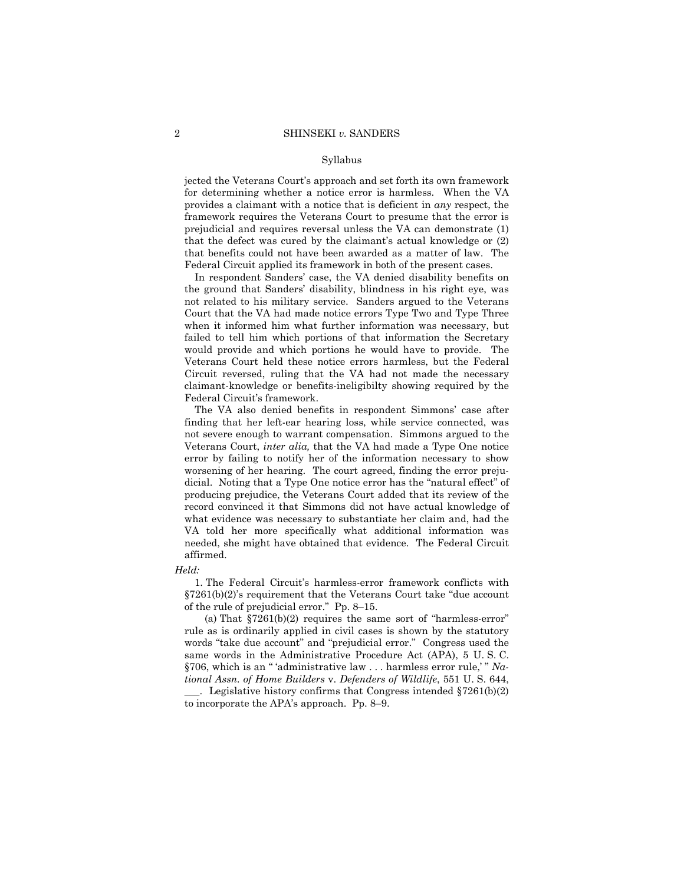jected the Veterans Court's approach and set forth its own framework for determining whether a notice error is harmless. When the VA provides a claimant with a notice that is deficient in *any* respect, the framework requires the Veterans Court to presume that the error is prejudicial and requires reversal unless the VA can demonstrate (1) that the defect was cured by the claimant's actual knowledge or (2) that benefits could not have been awarded as a matter of law. The Federal Circuit applied its framework in both of the present cases.

 In respondent Sanders' case, the VA denied disability benefits on the ground that Sanders' disability, blindness in his right eye, was not related to his military service. Sanders argued to the Veterans Court that the VA had made notice errors Type Two and Type Three when it informed him what further information was necessary, but failed to tell him which portions of that information the Secretary would provide and which portions he would have to provide. The Veterans Court held these notice errors harmless, but the Federal Circuit reversed, ruling that the VA had not made the necessary claimant-knowledge or benefits-ineligibilty showing required by the Federal Circuit's framework.

 The VA also denied benefits in respondent Simmons' case after finding that her left-ear hearing loss, while service connected, was not severe enough to warrant compensation. Simmons argued to the Veterans Court, *inter alia,* that the VA had made a Type One notice error by failing to notify her of the information necessary to show worsening of her hearing. The court agreed, finding the error prejudicial. Noting that a Type One notice error has the "natural effect" of producing prejudice, the Veterans Court added that its review of the record convinced it that Simmons did not have actual knowledge of what evidence was necessary to substantiate her claim and, had the VA told her more specifically what additional information was needed, she might have obtained that evidence. The Federal Circuit affirmed.

### *Held:*

 1. The Federal Circuit's harmless-error framework conflicts with §7261(b)(2)'s requirement that the Veterans Court take "due account of the rule of prejudicial error." Pp. 8–15.

(a) That  $$7261(b)(2)$  requires the same sort of "harmless-error" rule as is ordinarily applied in civil cases is shown by the statutory words "take due account" and "prejudicial error." Congress used the same words in the Administrative Procedure Act (APA), 5 U. S. C. §706, which is an " 'administrative law . . . harmless error rule,' " *National Assn. of Home Builders* v. *Defenders of Wildlife*, 551 U. S. 644, . Legislative history confirms that Congress intended  $$7261(b)(2)$ to incorporate the APA's approach. Pp. 8–9.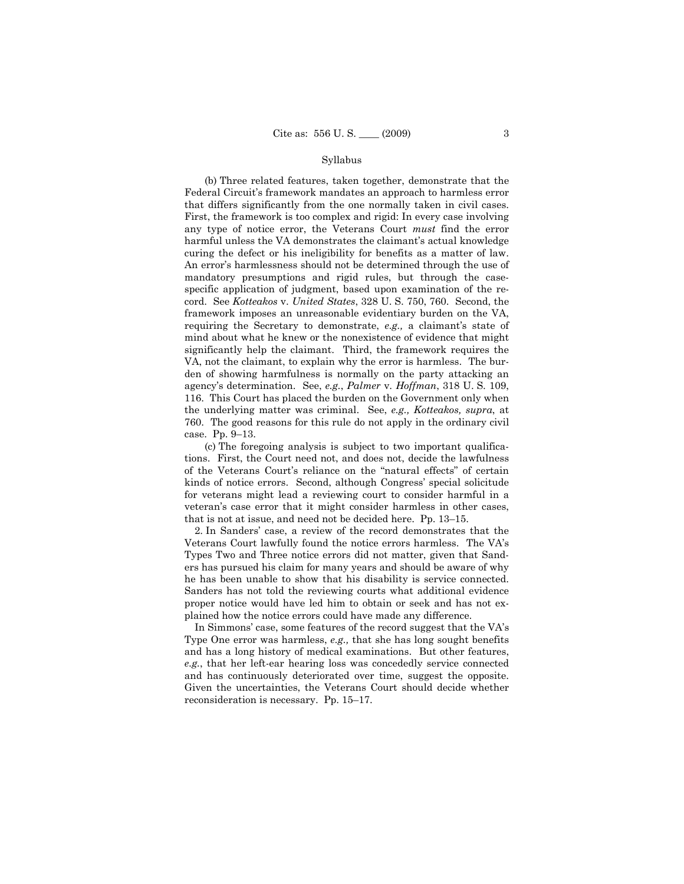(b) Three related features, taken together, demonstrate that the Federal Circuit's framework mandates an approach to harmless error that differs significantly from the one normally taken in civil cases. First, the framework is too complex and rigid: In every case involving any type of notice error, the Veterans Court *must* find the error harmful unless the VA demonstrates the claimant's actual knowledge curing the defect or his ineligibility for benefits as a matter of law. An error's harmlessness should not be determined through the use of mandatory presumptions and rigid rules, but through the casespecific application of judgment, based upon examination of the record. See *Kotteakos* v. *United States*, 328 U. S. 750, 760. Second, the framework imposes an unreasonable evidentiary burden on the VA, requiring the Secretary to demonstrate, *e.g.,* a claimant's state of mind about what he knew or the nonexistence of evidence that might significantly help the claimant. Third, the framework requires the VA, not the claimant, to explain why the error is harmless. The burden of showing harmfulness is normally on the party attacking an agency's determination. See, *e.g.*, *Palmer* v. *Hoffman*, 318 U. S. 109, 116. This Court has placed the burden on the Government only when the underlying matter was criminal. See, *e.g., Kotteakos, supra*, at 760. The good reasons for this rule do not apply in the ordinary civil case. Pp. 9–13.

 (c) The foregoing analysis is subject to two important qualifications. First, the Court need not, and does not, decide the lawfulness of the Veterans Court's reliance on the "natural effects" of certain kinds of notice errors. Second, although Congress' special solicitude for veterans might lead a reviewing court to consider harmful in a veteran's case error that it might consider harmless in other cases, that is not at issue, and need not be decided here. Pp. 13–15.

 2. In Sanders' case, a review of the record demonstrates that the Veterans Court lawfully found the notice errors harmless. The VA's Types Two and Three notice errors did not matter, given that Sanders has pursued his claim for many years and should be aware of why he has been unable to show that his disability is service connected. Sanders has not told the reviewing courts what additional evidence proper notice would have led him to obtain or seek and has not explained how the notice errors could have made any difference.

 In Simmons' case, some features of the record suggest that the VA's Type One error was harmless, *e.g.,* that she has long sought benefits and has a long history of medical examinations. But other features, *e.g.*, that her left-ear hearing loss was concededly service connected and has continuously deteriorated over time, suggest the opposite. Given the uncertainties, the Veterans Court should decide whether reconsideration is necessary. Pp. 15–17.